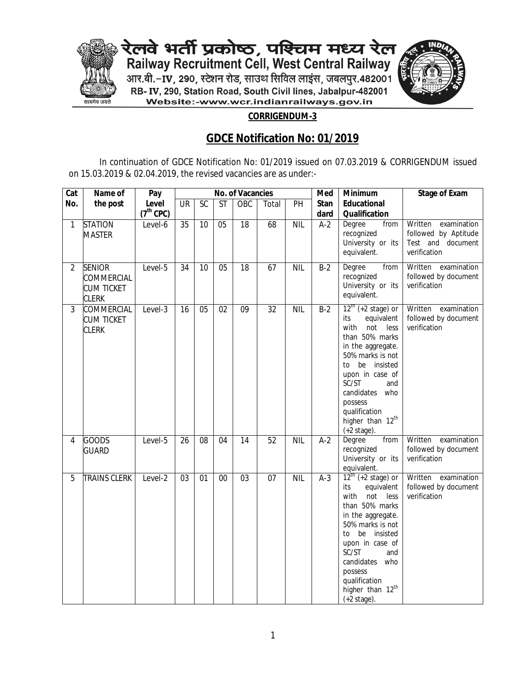

रेलवे भर्ती प्रकोष्ठ, पश्च्चिम मध्य रेल<br>Railway Recruitment Cell, West Central Railway आर.बी.-**IV, 290, स्टेशन रोड, साउथ सिविल लाइंस, जबलपुर.482001** RB- IV, 290, Station Road, South Civil lines, Jabalpur-482001 Website:-www.wcr.indianrailways.gov.in



## **CORRIGENDUM-3**

## **GDCE Notification No: 01/2019**

In continuation of GDCE Notification No: 01/2019 issued on 07.03.2019 & CORRIGENDUM issued on 15.03.2019 & 02.04.2019, the revised vacancies are as under:-

| Cat            | Name of                                                                 | Pay                  | <b>No. of Vacancies</b> |                 |                 |                 |                 |            | Med                 | <b>Minimum</b>                                                                                                                                                                                                                                                                                    | <b>Stage of Exam</b>                                                                |
|----------------|-------------------------------------------------------------------------|----------------------|-------------------------|-----------------|-----------------|-----------------|-----------------|------------|---------------------|---------------------------------------------------------------------------------------------------------------------------------------------------------------------------------------------------------------------------------------------------------------------------------------------------|-------------------------------------------------------------------------------------|
| No.            | the post                                                                | Level<br>$(7th$ CPC) | <b>UR</b>               | SC              | <b>ST</b>       | OBC             | Total           | PH         | <b>Stan</b><br>dard | <b>Educational</b><br><b>Qualification</b>                                                                                                                                                                                                                                                        |                                                                                     |
| 1              | <b>STATION</b><br><b>MASTER</b>                                         | Level-6              | 35                      | 10              | 05              | $\overline{18}$ | 68              | <b>NIL</b> | $A-2$               | Degree<br>from<br>recognized<br>University or its<br>equivalent.                                                                                                                                                                                                                                  | Written<br>examination<br>followed by Aptitude<br>Test and document<br>verification |
| $\overline{2}$ | <b>SENIOR</b><br><b>COMMERCIAL</b><br><b>CUM TICKET</b><br><b>CLERK</b> | Level-5              | 34                      | 10              | $\overline{05}$ | $\overline{18}$ | 67              | <b>NIL</b> | $B-2$               | Degree<br>from<br>recognized<br>University or its<br>equivalent.                                                                                                                                                                                                                                  | Written examination<br>followed by document<br>verification                         |
| 3              | <b>COMMERCIAL</b><br><b>CUM TICKET</b><br><b>CLERK</b>                  | Level-3              | 16                      | $\overline{05}$ | $\overline{02}$ | $\overline{09}$ | $\overline{32}$ | <b>NIL</b> | $B-2$               | $12^{th}$ (+2 stage) or<br>equivalent<br>its<br>with<br>not less<br>than 50% marks<br>in the aggregate.<br>50% marks is not<br>be insisted<br>to<br>upon in case of<br>SC/ST<br>and<br>candidates<br>who<br>possess<br>qualification<br>higher than 12 <sup>th</sup><br>$(+2 \text{ stage}).$     | Written<br>examination<br>followed by document<br>verification                      |
| 4              | <b>GOODS</b><br>GUARD                                                   | Level- $5$           | 26                      | 08              | 04              | 14              | 52              | <b>NIL</b> | $A-2$               | from<br>Degree<br>recognized<br>University or its<br>equivalent.                                                                                                                                                                                                                                  | Written<br>examination<br>followed by document<br>verification                      |
| 5              | <b>TRAINS CLERK</b>                                                     | Level-2              | $\overline{03}$         | 01              | $\overline{00}$ | $\overline{03}$ | $\overline{07}$ | <b>NIL</b> | $A-3$               | $12^{\text{th}}$ (+2 stage) or<br>equivalent<br>its<br>with<br>not<br>less<br>than 50% marks<br>in the aggregate.<br>50% marks is not<br>to be insisted<br>upon in case of<br>SC/ST<br>and<br>candidates who<br>possess<br>qualification<br>higher than 12 <sup>th</sup><br>$(+2 \text{ stage}).$ | Written examination<br>followed by document<br>verification                         |